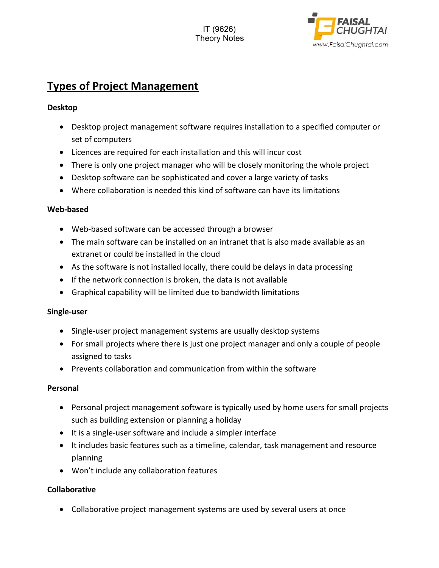

# **Types of Project Management**

#### **Desktop**

- Desktop project management software requires installation to a specified computer or set of computers
- Licences are required for each installation and this will incur cost
- There is only one project manager who will be closely monitoring the whole project
- Desktop software can be sophisticated and cover a large variety of tasks
- Where collaboration is needed this kind of software can have its limitations

### **Web‐based**

- Web-based software can be accessed through a browser
- The main software can be installed on an intranet that is also made available as an extranet or could be installed in the cloud
- As the software is not installed locally, there could be delays in data processing
- If the network connection is broken, the data is not available
- Graphical capability will be limited due to bandwidth limitations

### **Single‐user**

- Single-user project management systems are usually desktop systems
- For small projects where there is just one project manager and only a couple of people assigned to tasks
- Prevents collaboration and communication from within the software

### **Personal**

- Personal project management software is typically used by home users for small projects such as building extension or planning a holiday
- It is a single-user software and include a simpler interface
- It includes basic features such as a timeline, calendar, task management and resource planning
- Won't include any collaboration features

### **Collaborative**

Collaborative project management systems are used by several users at once